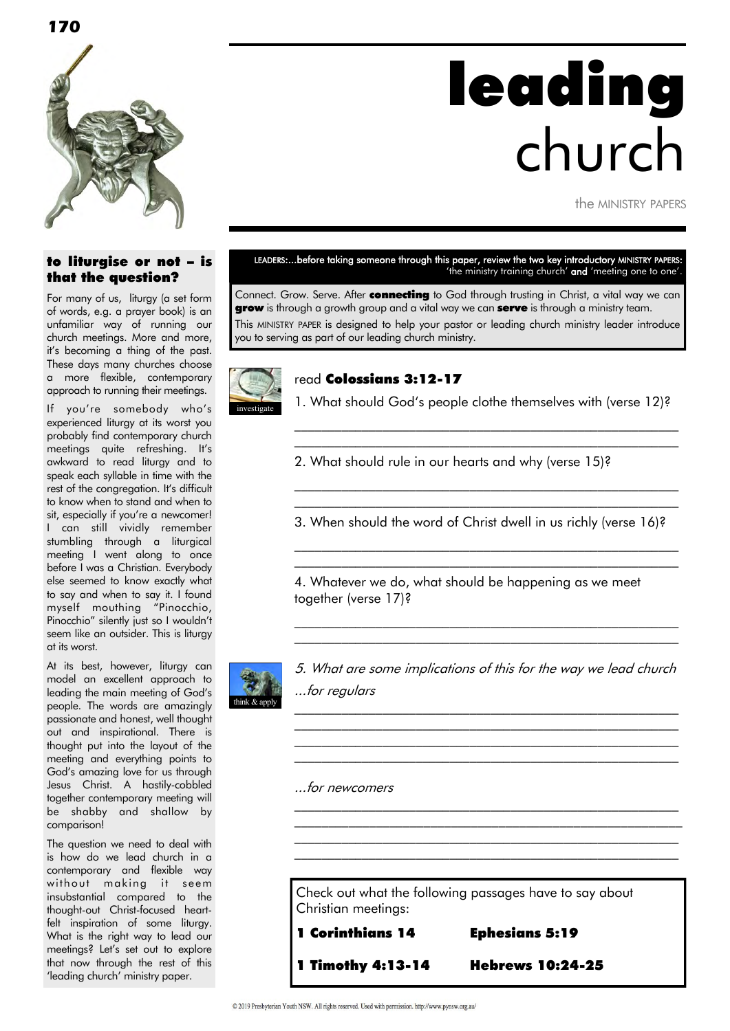

# leading church

the MINISTRY PAPERS

#### to liturgise or not – is that the question?

For many of us, liturgy (a set form of words, e.g. a prayer book) is an unfamiliar way of running our church meetings. More and more, it"s becoming a thing of the past. These days many churches choose a more flexible, contemporary approach to running their meetings.

If you"re somebody who"s experienced liturgy at its worst you probably find contemporary church meetings quite refreshing. It's awkward to read liturgy and to speak each syllable in time with the rest of the congregation. It's difficult to know when to stand and when to sit, especially if you're a newcomer! I can still vividly remember stumbling through a liturgical meeting I went along to once before I was a Christian. Everybody else seemed to know exactly what to say and when to say it. I found myself mouthing "Pinocchio, Pinocchio" silently just so I wouldn"t seem like an outsider. This is liturgy at its worst.

At its best, however, liturgy can model an excellent approach to leading the main meeting of God"s people. The words are amazingly passionate and honest, well thought out and inspirational. There is thought put into the layout of the meeting and everything points to God"s amazing love for us through Jesus Christ. A hastily-cobbled together contemporary meeting will be shabby and shallow by comparison!

The question we need to deal with is how do we lead church in a contemporary and flexible way without making it seem insubstantial compared to the thought-out Christ-focused heartfelt inspiration of some liturgy. What is the right way to lead our meetings? Let's set out to explore that now through the rest of this 'leading church' ministry paper.

#### LEADERS:...before taking someone through this paper, review the two key introductory MINISTRY PAPERS: 'the ministry training church' and 'meeting one to one'.

Connect. Grow. Serve. After connecting to God through trusting in Christ, a vital way we can **grow** is through a growth group and a vital way we can **serve** is through a ministry team. This MINISTRY PAPER is designed to help your pastor or leading church ministry leader introduce you to serving as part of our leading church ministry.



#### read Colossians 3:12-17

1. What should God's people clothe themselves with (verse 12)? \_\_\_\_\_\_\_\_\_\_\_\_\_\_\_\_\_\_\_\_\_\_\_\_\_\_\_\_\_\_\_\_\_\_\_\_\_\_\_\_\_\_\_\_\_\_\_\_\_\_\_\_\_\_\_\_\_

\_\_\_\_\_\_\_\_\_\_\_\_\_\_\_\_\_\_\_\_\_\_\_\_\_\_\_\_\_\_\_\_\_\_\_\_\_\_\_\_\_\_\_\_\_\_\_\_\_\_\_\_\_\_\_\_\_

\_\_\_\_\_\_\_\_\_\_\_\_\_\_\_\_\_\_\_\_\_\_\_\_\_\_\_\_\_\_\_\_\_\_\_\_\_\_\_\_\_\_\_\_\_\_\_\_\_\_\_\_\_\_\_\_\_ \_\_\_\_\_\_\_\_\_\_\_\_\_\_\_\_\_\_\_\_\_\_\_\_\_\_\_\_\_\_\_\_\_\_\_\_\_\_\_\_\_\_\_\_\_\_\_\_\_\_\_\_\_\_\_\_\_

\_\_\_\_\_\_\_\_\_\_\_\_\_\_\_\_\_\_\_\_\_\_\_\_\_\_\_\_\_\_\_\_\_\_\_\_\_\_\_\_\_\_\_\_\_\_\_\_\_\_\_\_\_\_\_\_\_ \_\_\_\_\_\_\_\_\_\_\_\_\_\_\_\_\_\_\_\_\_\_\_\_\_\_\_\_\_\_\_\_\_\_\_\_\_\_\_\_\_\_\_\_\_\_\_\_\_\_\_\_\_\_\_\_\_

2. What should rule in our hearts and why (verse 15)?

3. When should the word of Christ dwell in us richly (verse 16)?

4. Whatever we do, what should be happening as we meet together (verse 17)?



5. What are some implications of this for the way we lead church ...for regulars

\_\_\_\_\_\_\_\_\_\_\_\_\_\_\_\_\_\_\_\_\_\_\_\_\_\_\_\_\_\_\_\_\_\_\_\_\_\_\_\_\_\_\_\_\_\_\_\_\_\_\_\_\_\_\_\_\_  $\mathcal{L}_\text{max}$  and the contract of the contract of the contract of the contract of the contract of the contract of  $\mathcal{L}_\text{max}$  and the contract of the contract of the contract of the contract of the contract of the contract of  $\mathcal{L}_\text{max}$  and the contract of the contract of the contract of the contract of the contract of the contract of

\_\_\_\_\_\_\_\_\_\_\_\_\_\_\_\_\_\_\_\_\_\_\_\_\_\_\_\_\_\_\_\_\_\_\_\_\_\_\_\_\_\_\_\_\_\_\_\_\_\_\_\_\_\_\_\_\_  $\mathcal{L}_\text{max}$  and the contract of the contract of the contract of the contract of the contract of the contract of  $\mathcal{L}_\text{max}$  and the contract of the contract of the contract of the contract of the contract of the contract of  $\mathcal{L}_\text{max}$  and the contract of the contract of the contract of the contract of the contract of the contract of

 $\mathcal{L}_\text{max}$  and the contract of the contract of the contract of the contract of the contract of the contract of  $\mathcal{L}_\text{max}$  and the contract of the contract of the contract of the contract of the contract of the contract of

...for newcomers

Check out what the following passages have to say about Christian meetings:

1 Timothy 4:13-14 Hebrews 10:24-25

1 Corinthians 14 Ephesians 5:19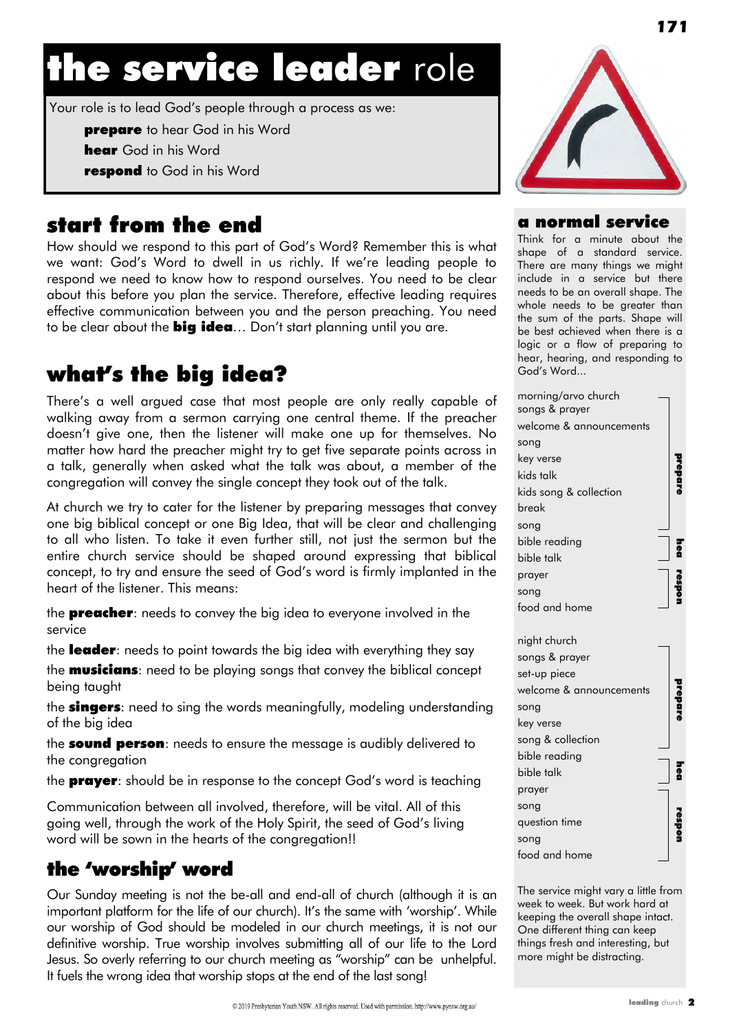# the service leader role

Your role is to lead God"s people through a process as we:

**prepare** to hear God in his Word

**hear** God in his Word

respond to God in his Word

# start from the end

How should we respond to this part of God"s Word? Remember this is what we want: God's Word to dwell in us richly. If we're leading people to respond we need to know how to respond ourselves. You need to be clear about this before you plan the service. Therefore, effective leading requires effective communication between you and the person preaching. You need to be clear about the **big idea**... Don't start planning until you are.

# what's the big idea?

There's a well argued case that most people are only really capable of walking away from a sermon carrying one central theme. If the preacher doesn"t give one, then the listener will make one up for themselves. No matter how hard the preacher might try to get five separate points across in a talk, generally when asked what the talk was about, a member of the congregation will convey the single concept they took out of the talk.

At church we try to cater for the listener by preparing messages that convey one big biblical concept or one Big Idea, that will be clear and challenging to all who listen. To take it even further still, not just the sermon but the entire church service should be shaped around expressing that biblical concept, to try and ensure the seed of God"s word is firmly implanted in the heart of the listener. This means:

the **preacher**: needs to convey the big idea to everyone involved in the service

the leader: needs to point towards the big idea with everything they say

the **musicians**: need to be playing songs that convey the biblical concept being taught

the **singers**: need to sing the words meaningfully, modeling understanding of the big idea

the **sound person**: needs to ensure the message is audibly delivered to the congregation

the **prayer**: should be in response to the concept God's word is teaching

Communication between all involved, therefore, will be vital. All of this going well, through the work of the Holy Spirit, the seed of God"s living word will be sown in the hearts of the congregation!!

### the 'worship' word

Our Sunday meeting is not the be-all and end-all of church (although it is an important platform for the life of our church). It's the same with 'worship'. While our worship of God should be modeled in our church meetings, it is not our definitive worship. True worship involves submitting all of our life to the Lord Jesus. So overly referring to our church meeting as "worship" can be unhelpful. It fuels the wrong idea that worship stops at the end of the last song!



#### a normal service

Think for a minute about the shape of a standard service. There are many things we might include in a service but there needs to be an overall shape. The whole needs to be greater than the sum of the parts. Shape will be best achieved when there is a logic or a flow of preparing to hear, hearing, and responding to God"s Word...

| morning/arvo church     |    |
|-------------------------|----|
| songs & prayer          |    |
| welcome & announcements |    |
| song                    |    |
| key verse               |    |
| kids talk               |    |
| kids song & collection  |    |
| break                   |    |
| song                    |    |
| bible reading           | ទី |
| bible talk              |    |
| prayer                  |    |
| song                    |    |
| food and home           |    |
|                         |    |
| night church            |    |
| songs & prayer          |    |
| set-up piece            |    |
| welcome & announcements |    |
| song                    |    |
| key verse               |    |
| song & collection       |    |
| bible reading           |    |
| bible talk              |    |
| prayer                  |    |
| song                    |    |
| question time           |    |
| song                    |    |
| food and home           |    |

The service might vary a little from week to week. But work hard at keeping the overall shape intact. One different thing can keep things fresh and interesting, but more might be distracting.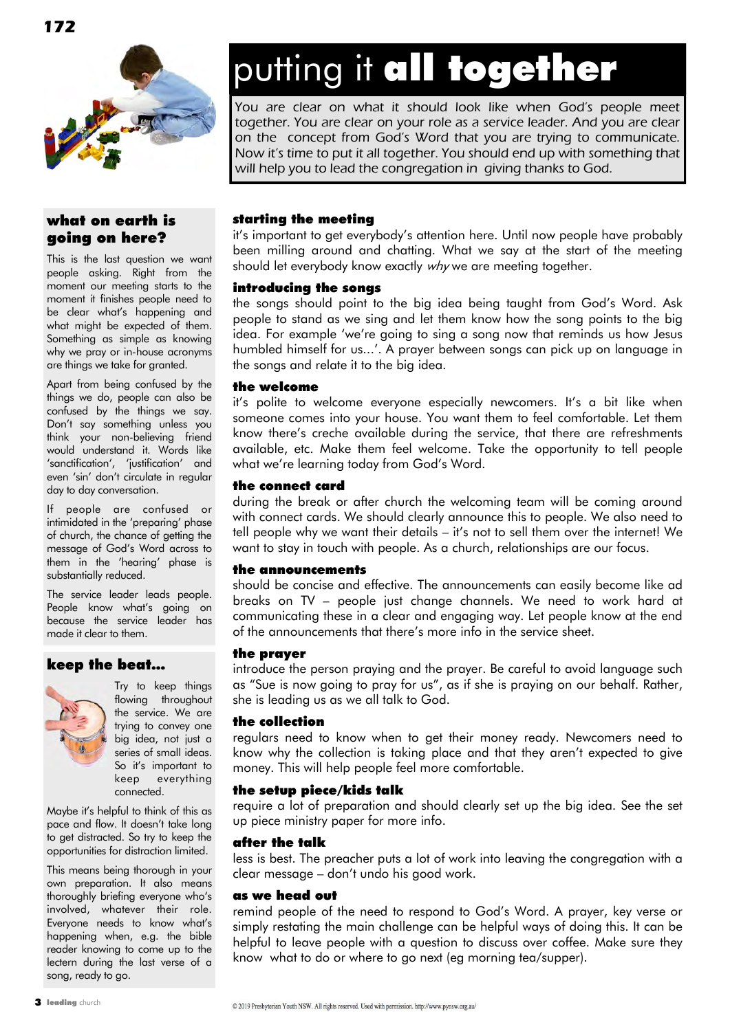

#### what on earth is going on here?

This is the last question we want people asking. Right from the moment our meeting starts to the moment it finishes people need to be clear what"s happening and what might be expected of them. Something as simple as knowing why we pray or in-house acronyms are things we take for granted.

Apart from being confused by the things we do, people can also be confused by the things we say. Don"t say something unless you think your non-believing friend would understand it. Words like 'sanctification", "justification" and even "sin" don"t circulate in regular day to day conversation.

If people are confused or intimidated in the 'preparing' phase of church, the chance of getting the message of God"s Word across to them in the 'hearing' phase is substantially reduced.

The service leader leads people. People know what's going on because the service leader has made it clear to them.

#### keep the beat…



Try to keep things flowing throughout the service. We are trying to convey one big idea, not just a series of small ideas. So it's important to keep everything connected.

Maybe it"s helpful to think of this as pace and flow. It doesn't take long to get distracted. So try to keep the opportunities for distraction limited.

This means being thorough in your own preparation. It also means thoroughly briefing everyone who's involved, whatever their role. Everyone needs to know what"s happening when, e.g. the bible reader knowing to come up to the lectern during the last verse of a song, ready to go.

# putting it all together

You are clear on what it should look like when God's people meet together. You are clear on your role as a service leader. And you are clear on the concept from God's Word that you are trying to communicate. Now it's time to put it all together. You should end up with something that will help you to lead the congregation in giving thanks to God.

#### starting the meeting

it's important to get everybody's attention here. Until now people have probably been milling around and chatting. What we say at the start of the meeting should let everybody know exactly why we are meeting together.

#### introducing the songs

the songs should point to the big idea being taught from God's Word. Ask people to stand as we sing and let them know how the song points to the big idea. For example 'we're going to sing a song now that reminds us how Jesus humbled himself for us...'. A prayer between songs can pick up on language in the songs and relate it to the big idea.

#### the welcome

it's polite to welcome everyone especially newcomers. It's a bit like when someone comes into your house. You want them to feel comfortable. Let them know there"s creche available during the service, that there are refreshments available, etc. Make them feel welcome. Take the opportunity to tell people what we're learning today from God's Word.

#### the connect card

during the break or after church the welcoming team will be coming around with connect cards. We should clearly announce this to people. We also need to tell people why we want their details – it"s not to sell them over the internet! We want to stay in touch with people. As a church, relationships are our focus.

#### the announcements

should be concise and effective. The announcements can easily become like ad breaks on TV – people just change channels. We need to work hard at communicating these in a clear and engaging way. Let people know at the end of the announcements that there"s more info in the service sheet.

#### the prayer

introduce the person praying and the prayer. Be careful to avoid language such as "Sue is now going to pray for us", as if she is praying on our behalf. Rather, she is leading us as we all talk to God.

#### the collection

regulars need to know when to get their money ready. Newcomers need to know why the collection is taking place and that they aren"t expected to give money. This will help people feel more comfortable.

#### the setup piece/kids talk

require a lot of preparation and should clearly set up the big idea. See the set up piece ministry paper for more info.

#### after the talk

less is best. The preacher puts a lot of work into leaving the congregation with a clear message – don"t undo his good work.

#### as we head out

remind people of the need to respond to God"s Word. A prayer, key verse or simply restating the main challenge can be helpful ways of doing this. It can be helpful to leave people with a question to discuss over coffee. Make sure they know what to do or where to go next (eg morning tea/supper).